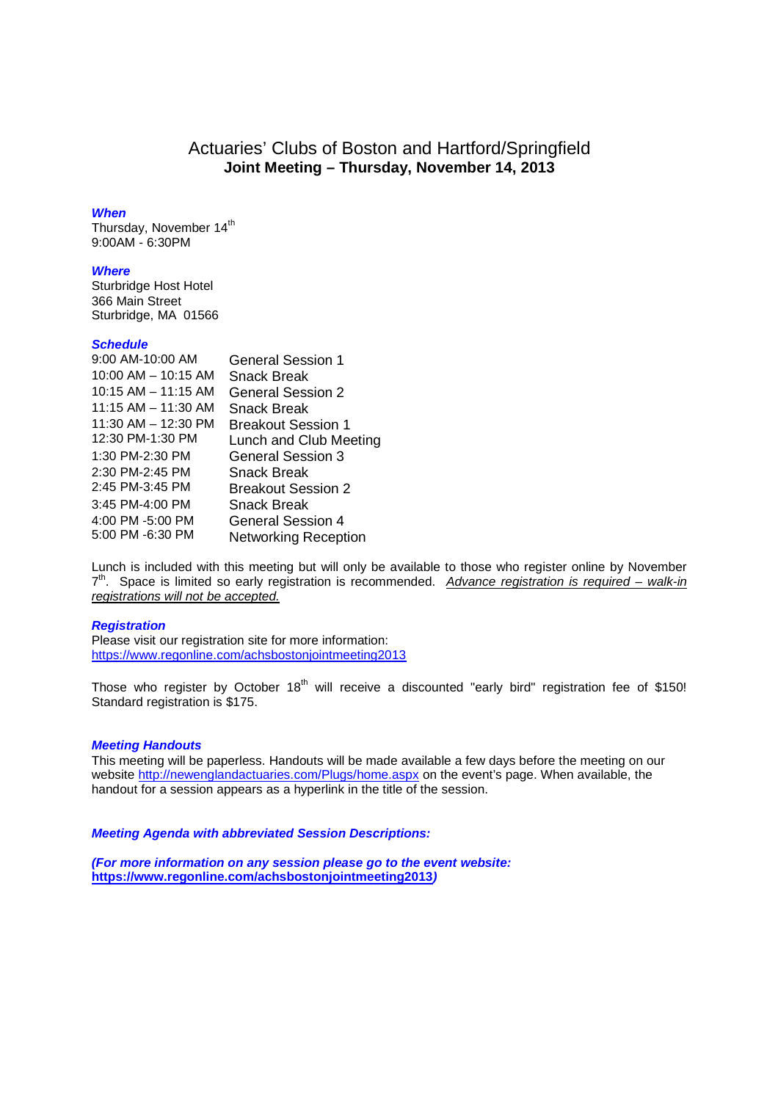# Actuaries' Clubs of Boston and Hartford/Springfield **Joint Meeting – Thursday, November 14, 2013**

### *When*

Thursday, November 14<sup>th</sup> 9:00AM - 6:30PM

## *Where*

Sturbridge Host Hotel 366 Main Street Sturbridge, MA 01566

#### *Schedule*

| 9:00 AM-10:00 AM        | <b>General Session 1</b>    |
|-------------------------|-----------------------------|
| $10:00$ AM $- 10:15$ AM | Snack Break                 |
| $10:15$ AM $-$ 11:15 AM | General Session 2           |
| 11:15 AM - 11:30 AM     | Snack Break                 |
| $11:30$ AM $- 12:30$ PM | <b>Breakout Session 1</b>   |
| 12:30 PM-1:30 PM        | Lunch and Club Meeting      |
| 1:30 PM-2:30 PM         | <b>General Session 3</b>    |
| 2:30 PM-2:45 PM         | <b>Snack Break</b>          |
| 2:45 PM-3:45 PM         | <b>Breakout Session 2</b>   |
| 3:45 PM-4:00 PM         | Snack Break                 |
| 4:00 PM -5:00 PM        | General Session 4           |
| 5:00 PM -6:30 PM        | <b>Networking Reception</b> |

Lunch is included with this meeting but will only be available to those who register online by November 7 th. Space is limited so early registration is recommended. *Advance registration is required – walk-in registrations will not be accepted.*

## *Registration*

Please visit our registration site for more information: https://www.regonline.com/achsbostonjointmeeting2013

Those who register by October 18<sup>th</sup> will receive a discounted "early bird" registration fee of \$150! Standard registration is \$175.

### *Meeting Handouts*

This meeting will be paperless. Handouts will be made available a few days before the meeting on our website http://newenglandactuaries.com/Plugs/home.aspx on the event's page. When available, the handout for a session appears as a hyperlink in the title of the session.

## *Meeting Agenda with abbreviated Session Descriptions:*

*(For more information on any session please go to the event website:* **https://www.regonline.com/achsbostonjointmeeting2013***)*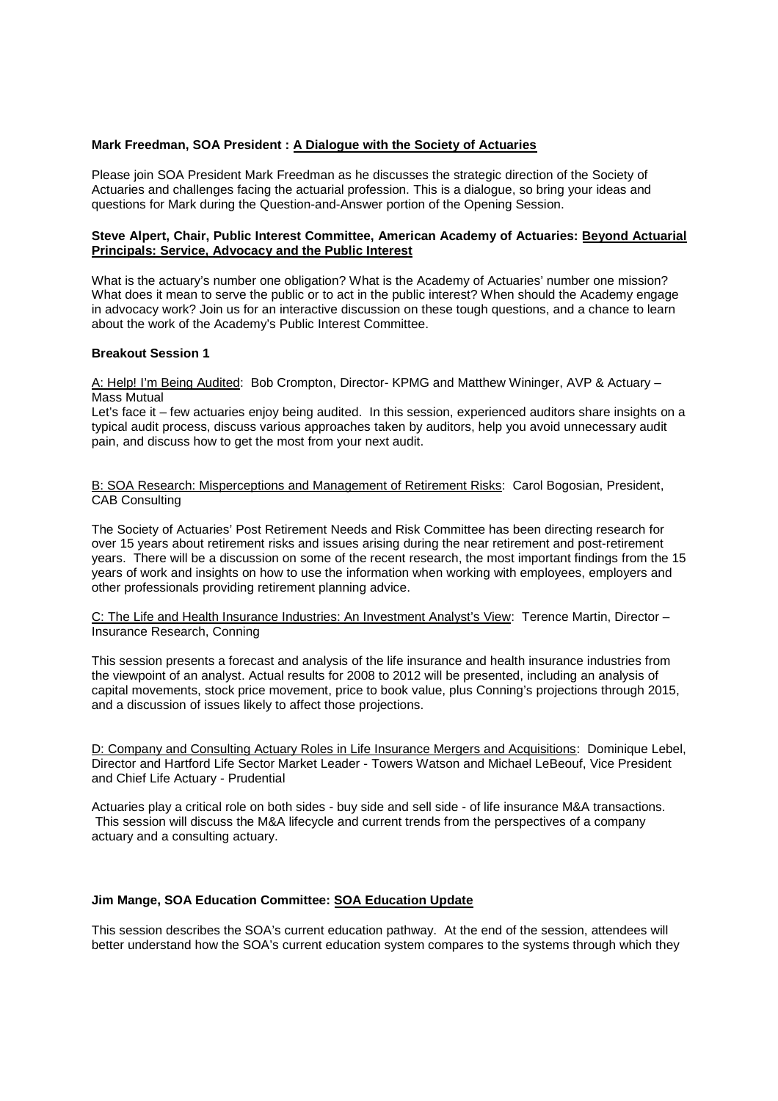## **Mark Freedman, SOA President : A Dialogue with the Society of Actuaries**

Please join SOA President Mark Freedman as he discusses the strategic direction of the Society of Actuaries and challenges facing the actuarial profession. This is a dialogue, so bring your ideas and questions for Mark during the Question-and-Answer portion of the Opening Session.

## **Steve Alpert, Chair, Public Interest Committee, American Academy of Actuaries: Beyond Actuarial Principals: Service, Advocacy and the Public Interest**

What is the actuary's number one obligation? What is the Academy of Actuaries' number one mission? What does it mean to serve the public or to act in the public interest? When should the Academy engage in advocacy work? Join us for an interactive discussion on these tough questions, and a chance to learn about the work of the Academy's Public Interest Committee.

## **Breakout Session 1**

A: Help! I'm Being Audited: Bob Crompton, Director- KPMG and Matthew Wininger, AVP & Actuary – Mass Mutual

Let's face it – few actuaries enjoy being audited. In this session, experienced auditors share insights on a typical audit process, discuss various approaches taken by auditors, help you avoid unnecessary audit pain, and discuss how to get the most from your next audit.

B: SOA Research: Misperceptions and Management of Retirement Risks: Carol Bogosian, President, CAB Consulting

The Society of Actuaries' Post Retirement Needs and Risk Committee has been directing research for over 15 years about retirement risks and issues arising during the near retirement and post-retirement years. There will be a discussion on some of the recent research, the most important findings from the 15 years of work and insights on how to use the information when working with employees, employers and other professionals providing retirement planning advice.

C: The Life and Health Insurance Industries: An Investment Analyst's View: Terence Martin, Director – Insurance Research, Conning

This session presents a forecast and analysis of the life insurance and health insurance industries from the viewpoint of an analyst. Actual results for 2008 to 2012 will be presented, including an analysis of capital movements, stock price movement, price to book value, plus Conning's projections through 2015, and a discussion of issues likely to affect those projections.

D: Company and Consulting Actuary Roles in Life Insurance Mergers and Acquisitions: Dominique Lebel, Director and Hartford Life Sector Market Leader - Towers Watson and Michael LeBeouf, Vice President and Chief Life Actuary - Prudential

Actuaries play a critical role on both sides - buy side and sell side - of life insurance M&A transactions. This session will discuss the M&A lifecycle and current trends from the perspectives of a company actuary and a consulting actuary.

### **Jim Mange, SOA Education Committee: SOA Education Update**

This session describes the SOA's current education pathway. At the end of the session, attendees will better understand how the SOA's current education system compares to the systems through which they